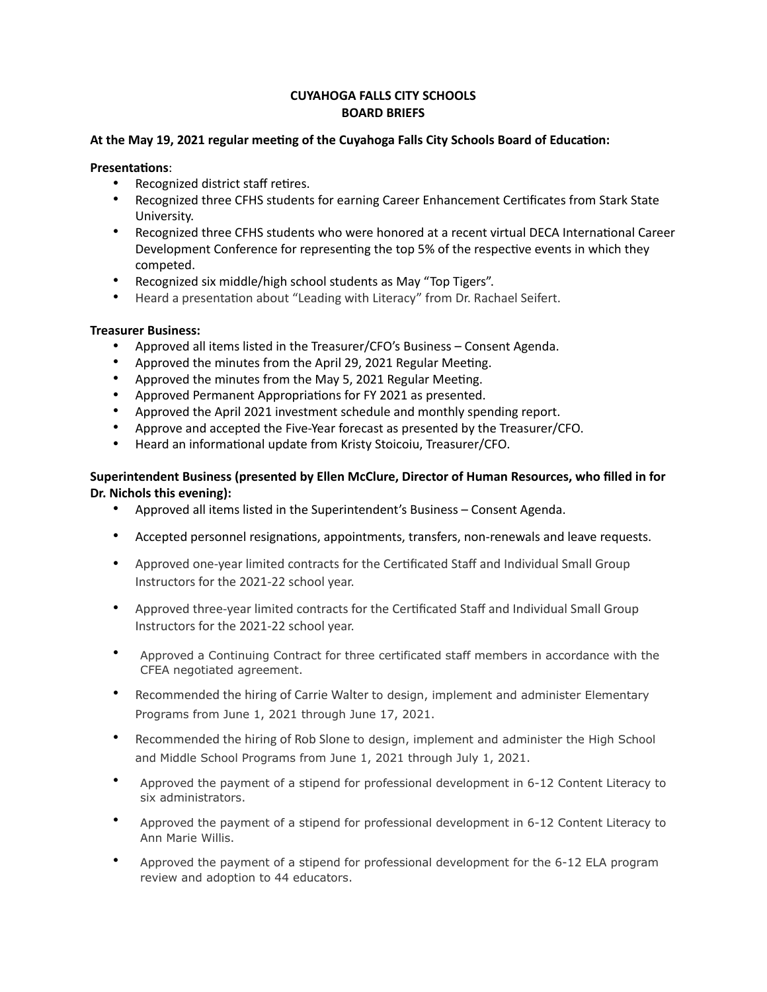# **CUYAHOGA FALLS CITY SCHOOLS BOARD BRIEFS**

## **At the May 19, 2021 regular meeting of the Cuyahoga Falls City Schools Board of Education:**

#### **Presentations**:

- Recognized district staff retires.
- Recognized three CFHS students for earning Career Enhancement Certificates from Stark State University.
- Recognized three CFHS students who were honored at a recent virtual DECA International Career Development Conference for representing the top 5% of the respective events in which they competed.
- Recognized six middle/high school students as May "Top Tigers".
- Heard a presentation about "Leading with Literacy" from Dr. Rachael Seifert.

## **Treasurer Business:**

- Approved all items listed in the Treasurer/CFO's Business Consent Agenda.
- Approved the minutes from the April 29, 2021 Regular Meeting.
- Approved the minutes from the May 5, 2021 Regular Meeting.
- Approved Permanent Appropriations for FY 2021 as presented.
- Approved the April 2021 investment schedule and monthly spending report.
- Approve and accepted the Five-Year forecast as presented by the Treasurer/CFO.
- Heard an informational update from Kristy Stoicoiu, Treasurer/CFO.

## **Superintendent Business (presented by Ellen McClure, Director of Human Resources, who filled in for Dr. Nichols this evening):**

- Approved all items listed in the Superintendent's Business Consent Agenda.
- Accepted personnel resignations, appointments, transfers, non-renewals and leave requests.
- Approved one-year limited contracts for the Certificated Staff and Individual Small Group Instructors for the 2021-22 school year.
- Approved three-year limited contracts for the Certificated Staff and Individual Small Group Instructors for the 2021-22 school year.
- Approved a Continuing Contract for three certificated staff members in accordance with the CFEA negotiated agreement.
- Recommended the hiring of Carrie Walter to design, implement and administer Elementary Programs from June 1, 2021 through June 17, 2021.
- Recommended the hiring of Rob Slone to design, implement and administer the High School and Middle School Programs from June 1, 2021 through July 1, 2021.
- Approved the payment of a stipend for professional development in 6-12 Content Literacy to six administrators.
- Approved the payment of a stipend for professional development in 6-12 Content Literacy to Ann Marie Willis.
- Approved the payment of a stipend for professional development for the 6-12 ELA program review and adoption to 44 educators.